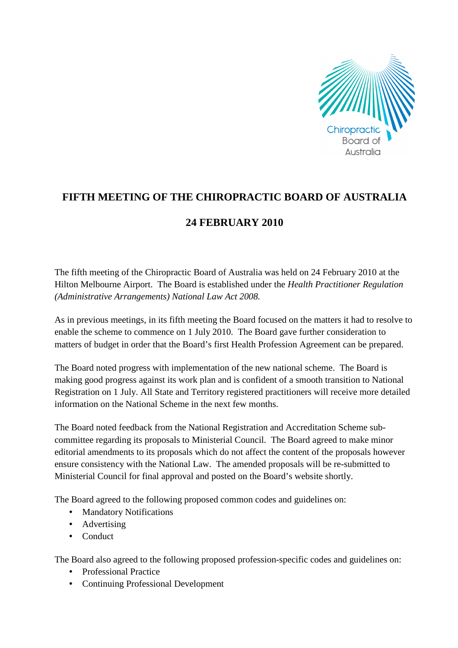

## **FIFTH MEETING OF THE CHIROPRACTIC BOARD OF AUSTRALIA**

## **24 FEBRUARY 2010**

The fifth meeting of the Chiropractic Board of Australia was held on 24 February 2010 at the Hilton Melbourne Airport. The Board is established under the *Health Practitioner Regulation (Administrative Arrangements) National Law Act 2008.* 

As in previous meetings, in its fifth meeting the Board focused on the matters it had to resolve to enable the scheme to commence on 1 July 2010. The Board gave further consideration to matters of budget in order that the Board's first Health Profession Agreement can be prepared.

The Board noted progress with implementation of the new national scheme. The Board is making good progress against its work plan and is confident of a smooth transition to National Registration on 1 July. All State and Territory registered practitioners will receive more detailed information on the National Scheme in the next few months.

The Board noted feedback from the National Registration and Accreditation Scheme subcommittee regarding its proposals to Ministerial Council. The Board agreed to make minor editorial amendments to its proposals which do not affect the content of the proposals however ensure consistency with the National Law. The amended proposals will be re-submitted to Ministerial Council for final approval and posted on the Board's website shortly.

The Board agreed to the following proposed common codes and guidelines on:

- Mandatory Notifications
- Advertising
- Conduct

The Board also agreed to the following proposed profession-specific codes and guidelines on:

- Professional Practice
- Continuing Professional Development